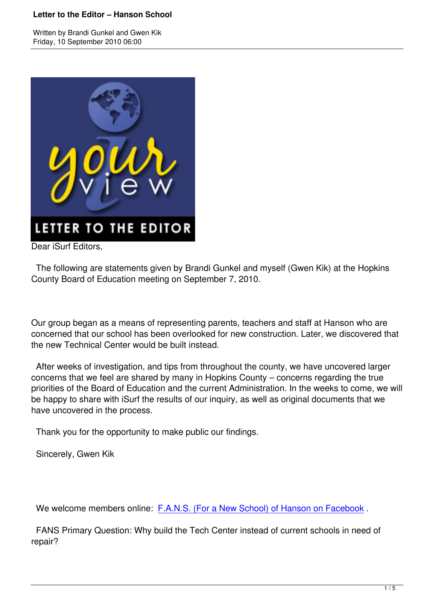

Dear iSurf Editors.

 The following are statements given by Brandi Gunkel and myself (Gwen Kik) at the Hopkins County Board of Education meeting on September 7, 2010.

Our group began as a means of representing parents, teachers and staff at Hanson who are concerned that our school has been overlooked for new construction. Later, we discovered that the new Technical Center would be built instead.

 After weeks of investigation, and tips from throughout the county, we have uncovered larger concerns that we feel are shared by many in Hopkins County – concerns regarding the true priorities of the Board of Education and the current Administration. In the weeks to come, we will be happy to share with iSurf the results of our inquiry, as well as original documents that we have uncovered in the process.

Thank you for the opportunity to make public our findings.

Sincerely, Gwen Kik

We welcome members online: F.A.N.S. (For a New School) of Hanson on Facebook .

 FANS Primary Question: Why build the Tech Center instead of current schools in need of repair?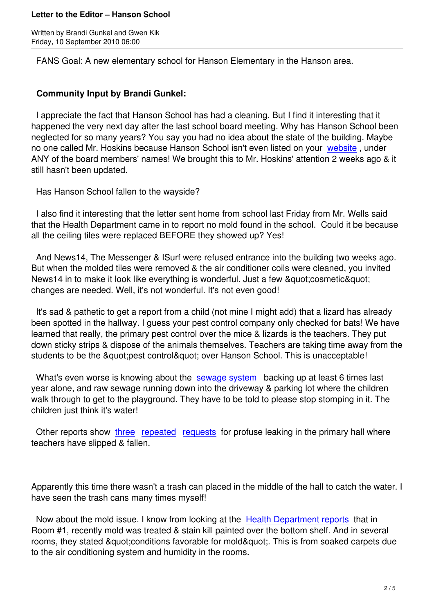FANS Goal: A new elementary school for Hanson Elementary in the Hanson area.

## **Community Input by Brandi Gunkel:**

 I appreciate the fact that Hanson School has had a cleaning. But I find it interesting that it happened the very next day after the last school board meeting. Why has Hanson School been neglected for so many years? You say you had no idea about the state of the building. Maybe no one called Mr. Hoskins because Hanson School isn't even listed on your website, under ANY of the board members' names! We brought this to Mr. Hoskins' attention 2 weeks ago & it still hasn't been updated.

Has Hanson School fallen to the wayside?

 I also find it interesting that the letter sent home from school last Friday from Mr. Wells said that the Health Department came in to report no mold found in the school. Could it be because all the ceiling tiles were replaced BEFORE they showed up? Yes!

 And News14, The Messenger & ISurf were refused entrance into the building two weeks ago. But when the molded tiles were removed & the air conditioner coils were cleaned, you invited News14 in to make it look like everything is wonderful. Just a few & quot: cosmetic & quot: changes are needed. Well, it's not wonderful. It's not even good!

 It's sad & pathetic to get a report from a child (not mine I might add) that a lizard has already been spotted in the hallway. I guess your pest control company only checked for bats! We have learned that really, the primary pest control over the mice & lizards is the teachers. They put down sticky strips & dispose of the animals themselves. Teachers are taking time away from the students to be the "pest control" over Hanson School. This is unacceptable!

What's even worse is knowing about the sewage system backing up at least 6 times last year alone, and raw sewage running down into the driveway & parking lot where the children walk through to get to the playground. They have to be told to please stop stomping in it. The children just think it's water!

Other reports show three repeated requests for profuse leaking in the primary hall where teachers have slipped & fallen.

Apparently this time there wasn't a trash can placed in the middle of the hall to catch the water. I have seen the trash cans many times myself!

Now about the mold issue. I know from looking at the Health Department reports that in Room #1, recently mold was treated & stain kill painted over the bottom shelf. And in several rooms, they stated & quot; conditions favorable for mold & quot;. This is from soaked carpets due to the air conditioning system and humidity in the room[s.](http://picasaweb.google.com/112862716751250253245/September92010FANSAtHansonDocuments#5514987447323119330)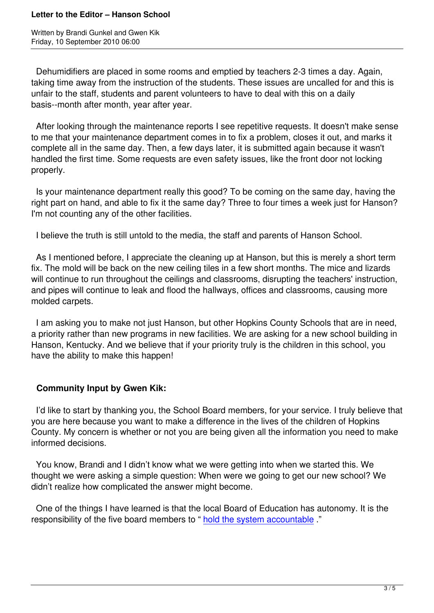Dehumidifiers are placed in some rooms and emptied by teachers 2-3 times a day. Again, taking time away from the instruction of the students. These issues are uncalled for and this is unfair to the staff, students and parent volunteers to have to deal with this on a daily basis--month after month, year after year.

 After looking through the maintenance reports I see repetitive requests. It doesn't make sense to me that your maintenance department comes in to fix a problem, closes it out, and marks it complete all in the same day. Then, a few days later, it is submitted again because it wasn't handled the first time. Some requests are even safety issues, like the front door not locking properly.

 Is your maintenance department really this good? To be coming on the same day, having the right part on hand, and able to fix it the same day? Three to four times a week just for Hanson? I'm not counting any of the other facilities.

I believe the truth is still untold to the media, the staff and parents of Hanson School.

 As I mentioned before, I appreciate the cleaning up at Hanson, but this is merely a short term fix. The mold will be back on the new ceiling tiles in a few short months. The mice and lizards will continue to run throughout the ceilings and classrooms, disrupting the teachers' instruction, and pipes will continue to leak and flood the hallways, offices and classrooms, causing more molded carpets.

 I am asking you to make not just Hanson, but other Hopkins County Schools that are in need, a priority rather than new programs in new facilities. We are asking for a new school building in Hanson, Kentucky. And we believe that if your priority truly is the children in this school, you have the ability to make this happen!

## **Community Input by Gwen Kik:**

 I'd like to start by thanking you, the School Board members, for your service. I truly believe that you are here because you want to make a difference in the lives of the children of Hopkins County. My concern is whether or not you are being given all the information you need to make informed decisions.

 You know, Brandi and I didn't know what we were getting into when we started this. We thought we were asking a simple question: When were we going to get our new school? We didn't realize how complicated the answer might become.

 One of the things I have learned is that the local Board of Education has autonomy. It is the responsibility of the five board members to " hold the system accountable ."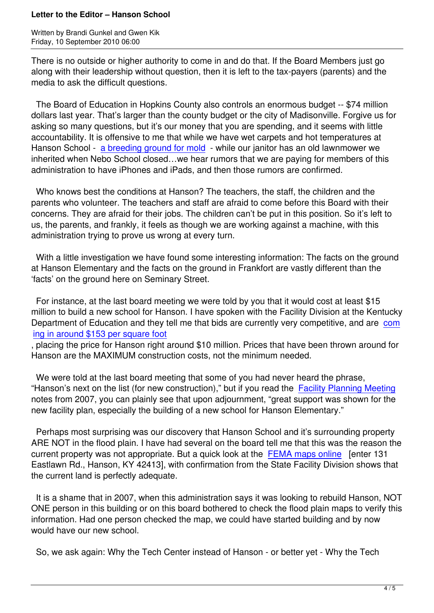There is no outside or higher authority to come in and do that. If the Board Members just go along with their leadership without question, then it is left to the tax-payers (parents) and the media to ask the difficult questions.

 The Board of Education in Hopkins County also controls an enormous budget -- \$74 million dollars last year. That's larger than the county budget or the city of Madisonville. Forgive us for asking so many questions, but it's our money that you are spending, and it seems with little accountability. It is offensive to me that while we have wet carpets and hot temperatures at Hanson School - a breeding ground for mold - while our janitor has an old lawnmower we inherited when Nebo School closed…we hear rumors that we are paying for members of this administration to have iPhones and iPads, and then those rumors are confirmed.

 Who knows best [the conditions at Hanson?](http://picasaweb.google.com/112862716751250253245/September92010FANSAtHansonDocuments#5514987447323119330) The teachers, the staff, the children and the parents who volunteer. The teachers and staff are afraid to come before this Board with their concerns. They are afraid for their jobs. The children can't be put in this position. So it's left to us, the parents, and frankly, it feels as though we are working against a machine, with this administration trying to prove us wrong at every turn.

 With a little investigation we have found some interesting information: The facts on the ground at Hanson Elementary and the facts on the ground in Frankfort are vastly different than the 'facts' on the ground here on Seminary Street.

 For instance, at the last board meeting we were told by you that it would cost at least \$15 million to build a new school for Hanson. I have spoken with the Facility Division at the Kentucky Department of Education and they tell me that bids are currently very competitive, and are com ing in around \$153 per square foot

, placing the price for Hanson right around \$10 million. Prices that have been thrown around for Hanson are the MAXIMUM construction costs, not the minimum needed.

 [We were told at the last board mee](http://www.bgdailynews.com/articles/2010/05/21/news/news3.txt)ting that some of you had never heard the phrase, "Hanson's next on the list (for new construction)," but if you read the Facility Planning Meeting notes from 2007, you can plainly see that upon adjournment, "great support was shown for the new facility plan, especially the building of a new school for Hanson Elementary."

 Perhaps most surprising was our discovery that Hanson School an[d it's surrounding property](http://picasaweb.google.com/112862716751250253245/September92010FANSAtHansonDocuments#5514987444284303362) ARE NOT in the flood plain. I have had several on the board tell me that this was the reason the current property was not appropriate. But a quick look at the FEMA maps online [enter 131] Eastlawn Rd., Hanson, KY 42413], with confirmation from the State Facility Division shows that the current land is perfectly adequate.

 It is a shame that in 2007, when this administration says it [was looking to rebuild](http://msc.fema.gov/webapp/wcs/stores/servlet/FemaWelcomeView?storeId=10001&catalogId=10001&langId=-1) Hanson, NOT ONE person in this building or on this board bothered to check the flood plain maps to verify this information. Had one person checked the map, we could have started building and by now would have our new school.

So, we ask again: Why the Tech Center instead of Hanson - or better yet - Why the Tech